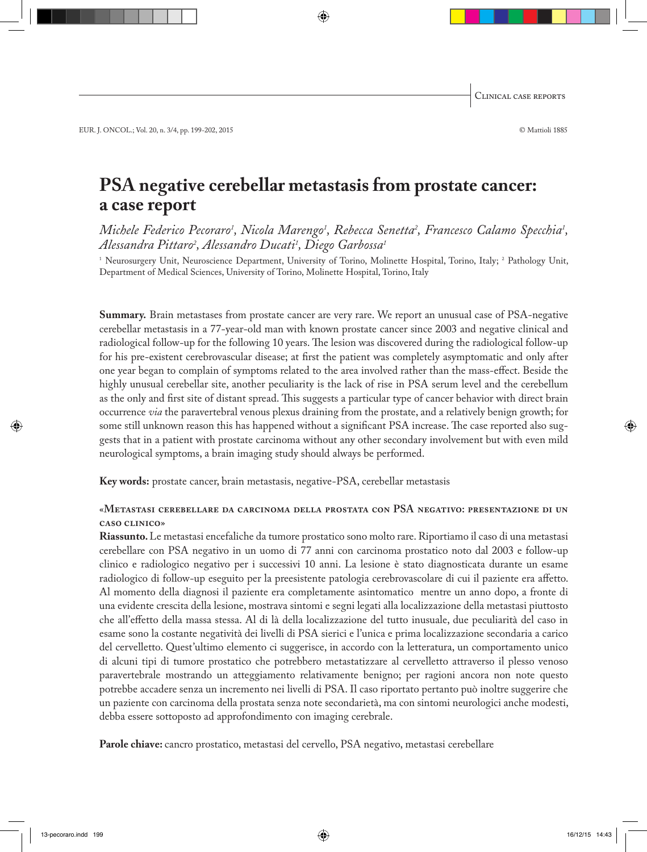# **PSA negative cerebellar metastasis from prostate cancer: a case report**

*Michele Federico Pecoraro<sup>1</sup>, Nicola Marengo<sup>1</sup>, Rebecca Senetta<sup>2</sup>, Francesco Calamo Specchia<sup>1</sup>, Alessandra Pittaro2 , Alessandro Ducati1 , Diego Garbossa1*

1 Neurosurgery Unit, Neuroscience Department, University of Torino, Molinette Hospital, Torino, Italy; 2 Pathology Unit, Department of Medical Sciences, University of Torino, Molinette Hospital, Torino, Italy

**Summary.** Brain metastases from prostate cancer are very rare. We report an unusual case of PSA-negative cerebellar metastasis in a 77-year-old man with known prostate cancer since 2003 and negative clinical and radiological follow-up for the following 10 years. The lesion was discovered during the radiological follow-up for his pre-existent cerebrovascular disease; at first the patient was completely asymptomatic and only after one year began to complain of symptoms related to the area involved rather than the mass-effect. Beside the highly unusual cerebellar site, another peculiarity is the lack of rise in PSA serum level and the cerebellum as the only and first site of distant spread. This suggests a particular type of cancer behavior with direct brain occurrence *via* the paravertebral venous plexus draining from the prostate, and a relatively benign growth; for some still unknown reason this has happened without a significant PSA increase. The case reported also suggests that in a patient with prostate carcinoma without any other secondary involvement but with even mild neurological symptoms, a brain imaging study should always be performed.

**Key words:** prostate cancer, brain metastasis, negative-PSA, cerebellar metastasis

# «**Metastasi cerebellare da carcinoma della prostata con PSA negativo: presentazione di un caso clinico**»

**Riassunto.** Le metastasi encefaliche da tumore prostatico sono molto rare. Riportiamo il caso di una metastasi cerebellare con PSA negativo in un uomo di 77 anni con carcinoma prostatico noto dal 2003 e follow-up clinico e radiologico negativo per i successivi 10 anni. La lesione è stato diagnosticata durante un esame radiologico di follow-up eseguito per la preesistente patologia cerebrovascolare di cui il paziente era affetto. Al momento della diagnosi il paziente era completamente asintomatico mentre un anno dopo, a fronte di una evidente crescita della lesione, mostrava sintomi e segni legati alla localizzazione della metastasi piuttosto che all'effetto della massa stessa. Al di là della localizzazione del tutto inusuale, due peculiarità del caso in esame sono la costante negatività dei livelli di PSA sierici e l'unica e prima localizzazione secondaria a carico del cervelletto. Quest'ultimo elemento ci suggerisce, in accordo con la letteratura, un comportamento unico di alcuni tipi di tumore prostatico che potrebbero metastatizzare al cervelletto attraverso il plesso venoso paravertebrale mostrando un atteggiamento relativamente benigno; per ragioni ancora non note questo potrebbe accadere senza un incremento nei livelli di PSA. Il caso riportato pertanto può inoltre suggerire che un paziente con carcinoma della prostata senza note secondarietà, ma con sintomi neurologici anche modesti, debba essere sottoposto ad approfondimento con imaging cerebrale.

**Parole chiave:** cancro prostatico, metastasi del cervello, PSA negativo, metastasi cerebellare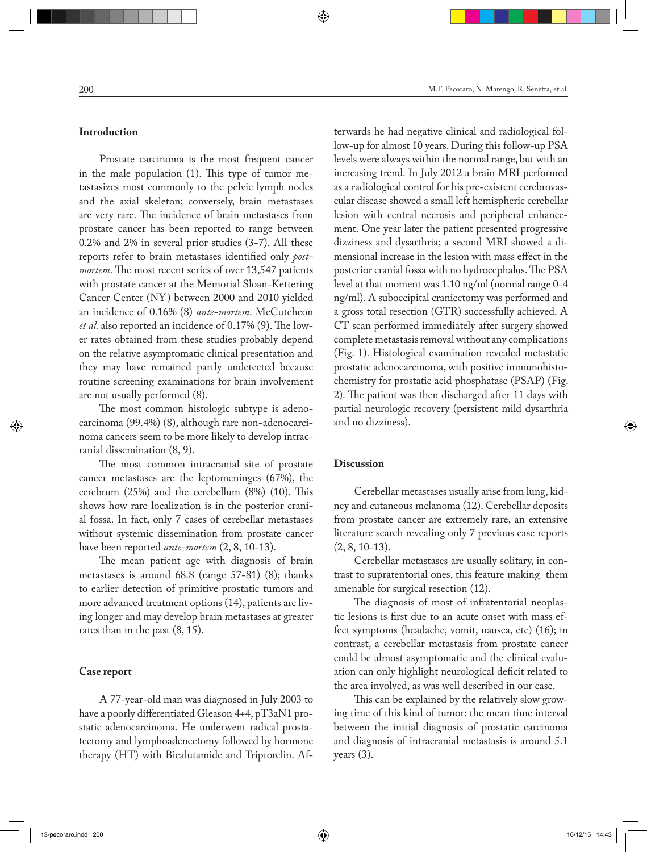#### **Introduction**

Prostate carcinoma is the most frequent cancer in the male population (1). This type of tumor metastasizes most commonly to the pelvic lymph nodes and the axial skeleton; conversely, brain metastases are very rare. The incidence of brain metastases from prostate cancer has been reported to range between 0.2% and 2% in several prior studies (3-7). All these reports refer to brain metastases identified only *postmortem*. The most recent series of over 13,547 patients with prostate cancer at the Memorial Sloan-Kettering Cancer Center (NY) between 2000 and 2010 yielded an incidence of 0.16% (8) *ante-mortem*. McCutcheon *et al.* also reported an incidence of 0.17% (9). The lower rates obtained from these studies probably depend on the relative asymptomatic clinical presentation and they may have remained partly undetected because routine screening examinations for brain involvement are not usually performed (8).

The most common histologic subtype is adenocarcinoma (99.4%) (8), although rare non-adenocarcinoma cancers seem to be more likely to develop intracranial dissemination (8, 9).

The most common intracranial site of prostate cancer metastases are the leptomeninges (67%), the cerebrum (25%) and the cerebellum (8%) (10). This shows how rare localization is in the posterior cranial fossa. In fact, only 7 cases of cerebellar metastases without systemic dissemination from prostate cancer have been reported *ante-mortem* (2, 8, 10-13).

The mean patient age with diagnosis of brain metastases is around 68.8 (range 57-81) (8); thanks to earlier detection of primitive prostatic tumors and more advanced treatment options (14), patients are living longer and may develop brain metastases at greater rates than in the past (8, 15).

## **Case report**

A 77-year-old man was diagnosed in July 2003 to have a poorly differentiated Gleason 4+4, pT3aN1 prostatic adenocarcinoma. He underwent radical prostatectomy and lymphoadenectomy followed by hormone therapy (HT) with Bicalutamide and Triptorelin. Af-

terwards he had negative clinical and radiological follow-up for almost 10 years. During this follow-up PSA levels were always within the normal range, but with an increasing trend. In July 2012 a brain MRI performed as a radiological control for his pre-existent cerebrovascular disease showed a small left hemispheric cerebellar lesion with central necrosis and peripheral enhancement. One year later the patient presented progressive dizziness and dysarthria; a second MRI showed a dimensional increase in the lesion with mass effect in the posterior cranial fossa with no hydrocephalus. The PSA level at that moment was 1.10 ng/ml (normal range 0-4 ng/ml). A suboccipital craniectomy was performed and a gross total resection (GTR) successfully achieved. A CT scan performed immediately after surgery showed complete metastasis removal without any complications (Fig. 1). Histological examination revealed metastatic prostatic adenocarcinoma, with positive immunohistochemistry for prostatic acid phosphatase (PSAP) (Fig. 2). The patient was then discharged after 11 days with partial neurologic recovery (persistent mild dysarthria and no dizziness).

### **Discussion**

Cerebellar metastases usually arise from lung, kidney and cutaneous melanoma (12). Cerebellar deposits from prostate cancer are extremely rare, an extensive literature search revealing only 7 previous case reports (2, 8, 10-13).

Cerebellar metastases are usually solitary, in contrast to supratentorial ones, this feature making them amenable for surgical resection (12).

The diagnosis of most of infratentorial neoplastic lesions is first due to an acute onset with mass effect symptoms (headache, vomit, nausea, etc) (16); in contrast, a cerebellar metastasis from prostate cancer could be almost asymptomatic and the clinical evaluation can only highlight neurological deficit related to the area involved, as was well described in our case.

This can be explained by the relatively slow growing time of this kind of tumor: the mean time interval between the initial diagnosis of prostatic carcinoma and diagnosis of intracranial metastasis is around 5.1 years (3).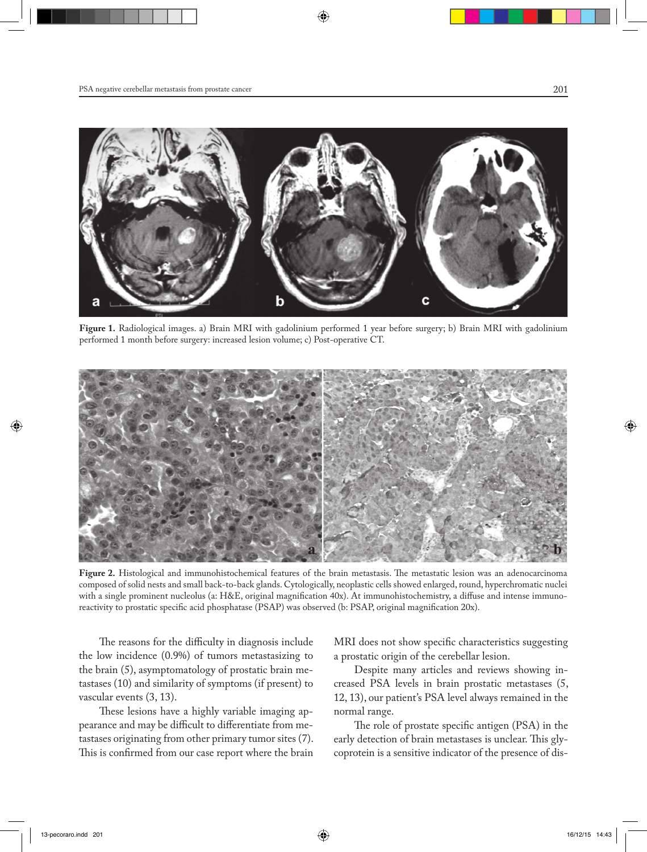

**Figure 1.** Radiological images. a) Brain MRI with gadolinium performed 1 year before surgery; b) Brain MRI with gadolinium performed 1 month before surgery: increased lesion volume; c) Post-operative CT.



**Figure 2.** Histological and immunohistochemical features of the brain metastasis. The metastatic lesion was an adenocarcinoma composed of solid nests and small back-to-back glands. Cytologically, neoplastic cells showed enlarged, round, hyperchromatic nuclei with a single prominent nucleolus (a: H&E, original magnification 40x). At immunohistochemistry, a diffuse and intense immunoreactivity to prostatic specific acid phosphatase (PSAP) was observed (b: PSAP, original magnification 20x).

The reasons for the difficulty in diagnosis include the low incidence (0.9%) of tumors metastasizing to the brain (5), asymptomatology of prostatic brain metastases (10) and similarity of symptoms (if present) to vascular events (3, 13).

These lesions have a highly variable imaging appearance and may be difficult to differentiate from metastases originating from other primary tumor sites (7). This is confirmed from our case report where the brain

MRI does not show specific characteristics suggesting a prostatic origin of the cerebellar lesion.

Despite many articles and reviews showing increased PSA levels in brain prostatic metastases (5, 12, 13), our patient's PSA level always remained in the normal range.

The role of prostate specific antigen (PSA) in the early detection of brain metastases is unclear. This glycoprotein is a sensitive indicator of the presence of dis